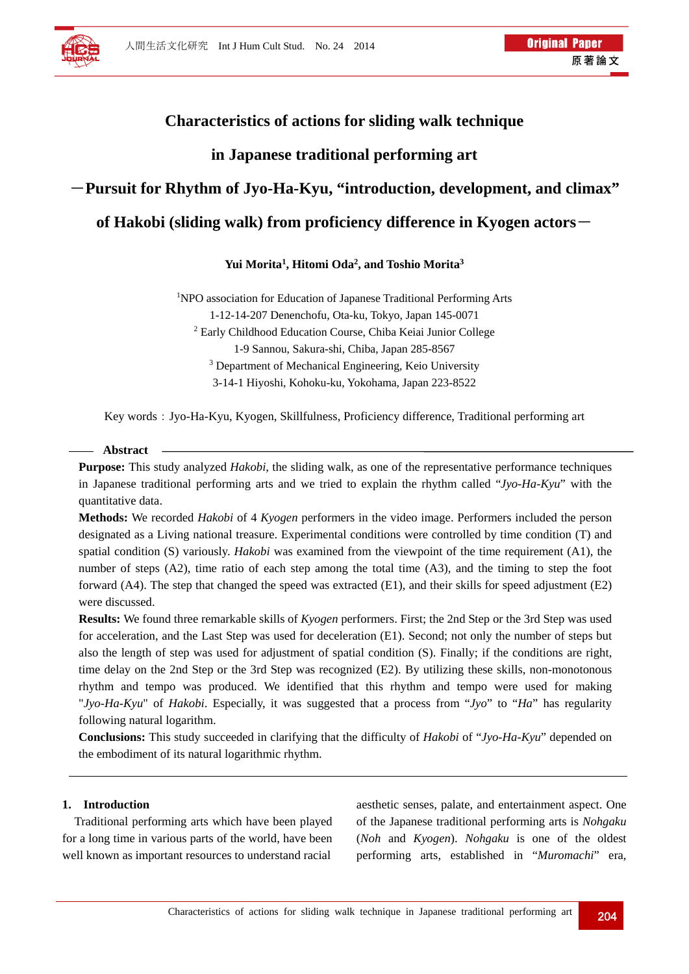# **Characteristics of actions for sliding walk technique**

# **in Japanese traditional performing art**

# -**Pursuit for Rhythm of Jyo-Ha-Kyu, "introduction, development, and climax"**

# **of Hakobi (sliding walk) from proficiency difference in Kyogen actors**-

# **Yui Morita1, Hitomi Oda2, and Toshio Morita3**

<sup>1</sup>NPO association for Education of Japanese Traditional Performing Arts 1-12-14-207 Denenchofu, Ota-ku, Tokyo, Japan 145-0071 2 Early Childhood Education Course, Chiba Keiai Junior College 1-9 Sannou, Sakura-shi, Chiba, Japan 285-8567 <sup>3</sup> Department of Mechanical Engineering, Keio University 3-14-1 Hiyoshi, Kohoku-ku, Yokohama, Japan 223-8522

Key words: Jyo-Ha-Kyu, Kyogen, Skillfulness, Proficiency difference, Traditional performing art

## **Abstract**

**Purpose:** This study analyzed *Hakobi*, the sliding walk, as one of the representative performance techniques in Japanese traditional performing arts and we tried to explain the rhythm called "*Jyo-Ha-Kyu*" with the quantitative data.

**Methods:** We recorded *Hakobi* of 4 *Kyogen* performers in the video image. Performers included the person designated as a Living national treasure. Experimental conditions were controlled by time condition (T) and spatial condition (S) variously. *Hakobi* was examined from the viewpoint of the time requirement (A1), the number of steps (A2), time ratio of each step among the total time (A3), and the timing to step the foot forward (A4). The step that changed the speed was extracted (E1), and their skills for speed adjustment (E2) were discussed.

**Results:** We found three remarkable skills of *Kyogen* performers. First; the 2nd Step or the 3rd Step was used for acceleration, and the Last Step was used for deceleration (E1). Second; not only the number of steps but also the length of step was used for adjustment of spatial condition (S). Finally; if the conditions are right, time delay on the 2nd Step or the 3rd Step was recognized (E2). By utilizing these skills, non-monotonous rhythm and tempo was produced. We identified that this rhythm and tempo were used for making "*Jyo-Ha-Kyu*" of *Hakobi*. Especially, it was suggested that a process from "*Jyo*" to "*Ha*" has regularity following natural logarithm.

**Conclusions:** This study succeeded in clarifying that the difficulty of *Hakobi* of "*Jyo-Ha-Kyu*" depended on the embodiment of its natural logarithmic rhythm.

## **1. Introduction**

Traditional performing arts which have been played for a long time in various parts of the world, have been well known as important resources to understand racial

aesthetic senses, palate, and entertainment aspect. One of the Japanese traditional performing arts is *Nohgaku* (*Noh* and *Kyogen*). *Nohgaku* is one of the oldest performing arts, established in "*Muromachi*" era,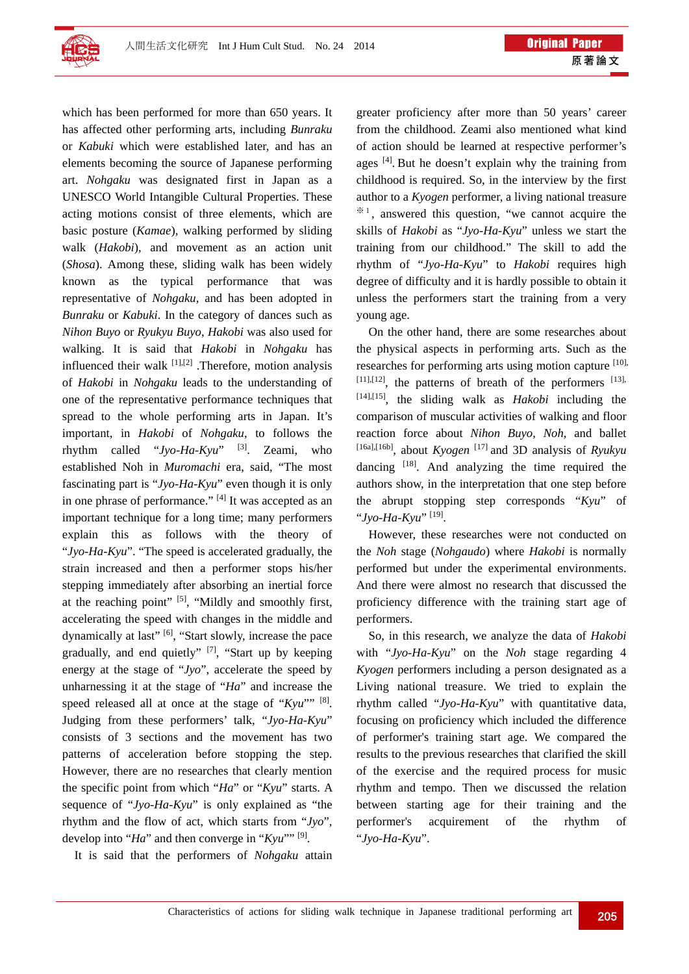

which has been performed for more than 650 years. It has affected other performing arts, including *Bunraku* or *Kabuki* which were established later, and has an elements becoming the source of Japanese performing art. *Nohgaku* was designated first in Japan as a UNESCO World Intangible Cultural Properties. These acting motions consist of three elements, which are basic posture (*Kamae*), walking performed by sliding walk (*Hakobi*), and movement as an action unit (*Shosa*). Among these, sliding walk has been widely known as the typical performance that was representative of *Nohgaku,* and has been adopted in *Bunraku* or *Kabuki*. In the category of dances such as *Nihon Buyo* or *Ryukyu Buyo*, *Hakobi* was also used for walking. It is said that *Hakobi* in *Nohgaku* has influenced their walk  $^{[1],[2]}$ . Therefore, motion analysis of *Hakobi* in *Nohgaku* leads to the understanding of one of the representative performance techniques that spread to the whole performing arts in Japan. It's important, in *Hakobi* of *Nohgaku*, to follows the rhythm called "*Jyo-Ha-Kyu*" [3]. Zeami, who established Noh in *Muromachi* era, said, "The most fascinating part is "*Jyo-Ha-Kyu*" even though it is only in one phrase of performance." [4] It was accepted as an important technique for a long time; many performers explain this as follows with the theory of "*Jyo-Ha-Kyu*". "The speed is accelerated gradually, the strain increased and then a performer stops his/her stepping immediately after absorbing an inertial force at the reaching point"  $[5]$ , "Mildly and smoothly first, accelerating the speed with changes in the middle and dynamically at last" [6], "Start slowly, increase the pace gradually, and end quietly"  $[7]$ , "Start up by keeping energy at the stage of "*Jyo*", accelerate the speed by unharnessing it at the stage of "*Ha*" and increase the speed released all at once at the stage of "*Kyu*"" [8]. Judging from these performers' talk, "*Jyo-Ha-Kyu*" consists of 3 sections and the movement has two patterns of acceleration before stopping the step. However, there are no researches that clearly mention the specific point from which "*Ha*" or "*Kyu*" starts. A sequence of "*Jyo-Ha-Kyu*" is only explained as "the rhythm and the flow of act, which starts from "*Jyo*", develop into "*Ha*" and then converge in "*Kyu*"" [9].

It is said that the performers of *Nohgaku* attain

greater proficiency after more than 50 years' career from the childhood. Zeami also mentioned what kind of action should be learned at respective performer's ages [4]. But he doesn't explain why the training from childhood is required. So, in the interview by the first author to a *Kyogen* performer, a living national treasure  $*1$ , answered this question, "we cannot acquire the skills of *Hakobi* as "*Jyo-Ha-Kyu*" unless we start the training from our childhood." The skill to add the rhythm of "*Jyo-Ha-Kyu*" to *Hakobi* requires high degree of difficulty and it is hardly possible to obtain it unless the performers start the training from a very young age.

On the other hand, there are some researches about the physical aspects in performing arts. Such as the researches for performing arts using motion capture [10],  $[11]$ ,  $[12]$ , the patterns of breath of the performers  $[13]$ , [14],[15], the sliding walk as *Hakobi* including the comparison of muscular activities of walking and floor reaction force about *Nihon Buyo*, *Noh*, and ballet [16a],[16b], about *Kyogen* [17] and 3D analysis of *Ryukyu* dancing  $[18]$ . And analyzing the time required the authors show, in the interpretation that one step before the abrupt stopping step corresponds "*Kyu*" of "*Jyo-Ha-Kyu*" [19].

However, these researches were not conducted on the *Noh* stage (*Nohgaudo*) where *Hakobi* is normally performed but under the experimental environments. And there were almost no research that discussed the proficiency difference with the training start age of performers.

So, in this research, we analyze the data of *Hakobi* with "*Jyo-Ha-Kyu*" on the *Noh* stage regarding 4 *Kyogen* performers including a person designated as a Living national treasure. We tried to explain the rhythm called "*Jyo-Ha-Kyu*" with quantitative data, focusing on proficiency which included the difference of performer's training start age. We compared the results to the previous researches that clarified the skill of the exercise and the required process for music rhythm and tempo. Then we discussed the relation between starting age for their training and the performer's acquirement of the rhythm of "*Jyo-Ha-Kyu*".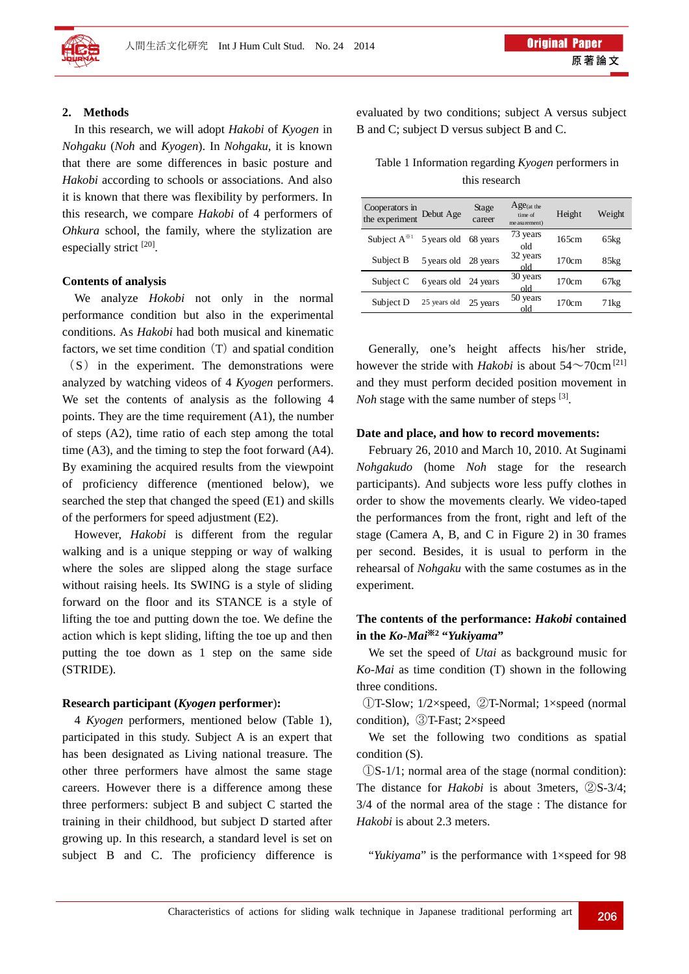

### **2. Methods**

In this research, we will adopt *Hakobi* of *Kyogen* in *Nohgaku* (*Noh* and *Kyogen*). In *Nohgaku*, it is known that there are some differences in basic posture and *Hakobi* according to schools or associations. And also it is known that there was flexibility by performers. In this research, we compare *Hakobi* of 4 performers of *Ohkura* school, the family, where the stylization are especially strict [20].

### **Contents of analysis**

We analyze *Hokobi* not only in the normal performance condition but also in the experimental conditions. As *Hakobi* had both musical and kinematic factors, we set time condition  $(T)$  and spatial condition  $(S)$  in the experiment. The demonstrations were analyzed by watching videos of 4 *Kyogen* performers. We set the contents of analysis as the following 4 points. They are the time requirement (A1), the number of steps (A2), time ratio of each step among the total time (A3), and the timing to step the foot forward (A4). By examining the acquired results from the viewpoint of proficiency difference (mentioned below), we searched the step that changed the speed (E1) and skills of the performers for speed adjustment (E2).

However, *Hakobi* is different from the regular walking and is a unique stepping or way of walking where the soles are slipped along the stage surface without raising heels. Its SWING is a style of sliding forward on the floor and its STANCE is a style of lifting the toe and putting down the toe. We define the action which is kept sliding, lifting the toe up and then putting the toe down as 1 step on the same side (STRIDE).

#### **Research participant (***Kyogen* **performer**)**:**

4 *Kyogen* performers, mentioned below (Table 1), participated in this study. Subject A is an expert that has been designated as Living national treasure. The other three performers have almost the same stage careers. However there is a difference among these three performers: subject B and subject C started the training in their childhood, but subject D started after growing up. In this research, a standard level is set on subject B and C. The proficiency difference is evaluated by two conditions; subject A versus subject B and C; subject D versus subject B and C.

Table 1 Information regarding *Kyogen* performers in this research

| Cooperators in Debut Age<br>the experiment Debut Age |                      | Stage<br>career | $Age$ (at the<br>time of<br>me asurement) | Height | Weight |
|------------------------------------------------------|----------------------|-----------------|-------------------------------------------|--------|--------|
| Subject $A^{*1}$ 5 years old 68 years                |                      |                 | 73 years<br>old                           | 165cm  | 65kg   |
| Subject B                                            | 5 years old 28 years |                 | 32 years<br>old                           | 170cm  | 85kg   |
| Subject C                                            | 6 years old 24 years |                 | 30 years<br>old                           | 170cm  | 67kg   |
| Subject D                                            | 25 years old         | 25 years        | 50 years<br>old                           | 170cm  | 71kg   |

Generally, one's height affects his/her stride, however the stride with *Hakobi* is about  $54 \sim 70 \text{cm}^{[21]}$ and they must perform decided position movement in *Noh* stage with the same number of steps <sup>[3]</sup>.

### **Date and place, and how to record movements:**

February 26, 2010 and March 10, 2010. At Suginami *Nohgakudo* (home *Noh* stage for the research participants). And subjects wore less puffy clothes in order to show the movements clearly. We video-taped the performances from the front, right and left of the stage (Camera A, B, and C in Figure 2) in 30 frames per second. Besides, it is usual to perform in the rehearsal of *Nohgaku* with the same costumes as in the experiment.

# **The contents of the performance:** *Hakobi* **contained in the** *Ko-Mai*※**2 "***Yukiyama***"**

We set the speed of *Utai* as background music for *Ko-Mai* as time condition (T) shown in the following three conditions.

①T-Slow; 1/2×speed, ②T-Normal; 1×speed (normal condition), ③T-Fast; 2×speed

We set the following two conditions as spatial condition (S).

①S-1/1; normal area of the stage (normal condition): The distance for *Hakobi* is about 3meters, ②S-3/4; 3/4 of the normal area of the stage : The distance for *Hakobi* is about 2.3 meters.

"*Yukiyama*" is the performance with 1×speed for 98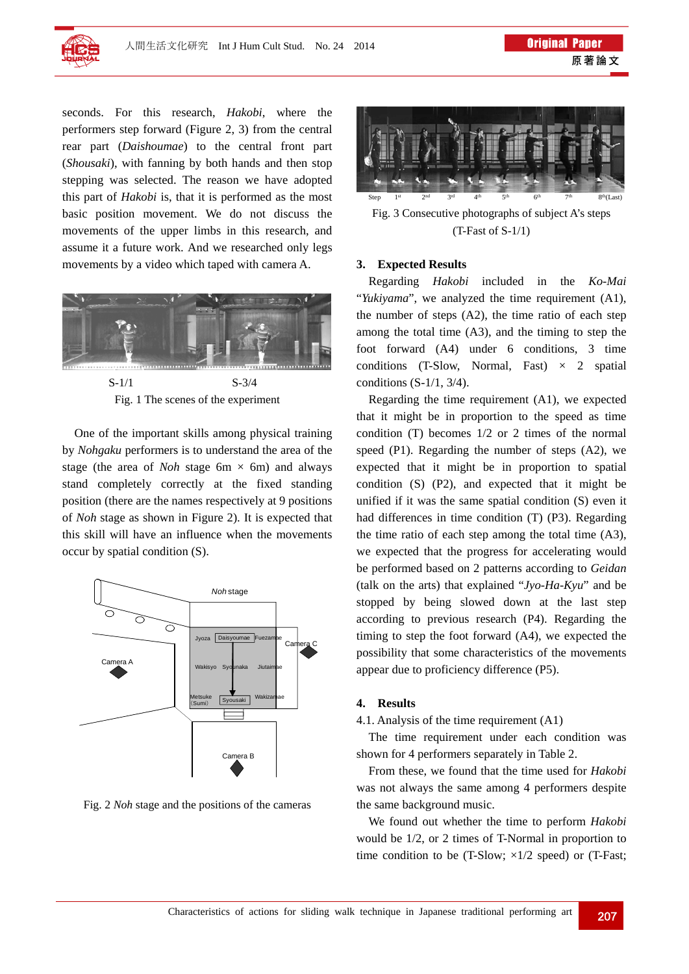

seconds. For this research, *Hakobi*, where the performers step forward (Figure 2, 3) from the central rear part (*Daishoumae*) to the central front part (*Shousaki*), with fanning by both hands and then stop stepping was selected. The reason we have adopted this part of *Hakobi* is, that it is performed as the most basic position movement. We do not discuss the movements of the upper limbs in this research, and assume it a future work. And we researched only legs movements by a video which taped with camera A.



 $S-1/1$   $S-3/4$ Fig. 1 The scenes of the experiment

One of the important skills among physical training by *Nohgaku* performers is to understand the area of the stage (the area of *Noh* stage 6m  $\times$  6m) and always stand completely correctly at the fixed standing position (there are the names respectively at 9 positions of *Noh* stage as shown in Figure 2). It is expected that this skill will have an influence when the movements occur by spatial condition (S).



Fig. 2 *Noh* stage and the positions of the cameras



Fig. 3 Consecutive photographs of subject A's steps (T-Fast of S-1/1)

#### **3. Expected Results**

Regarding *Hakobi* included in the *Ko-Mai* "*Yukiyama*", we analyzed the time requirement (A1), the number of steps (A2), the time ratio of each step among the total time (A3), and the timing to step the foot forward (A4) under 6 conditions, 3 time conditions (T-Slow, Normal, Fast)  $\times$  2 spatial conditions (S-1/1, 3/4).

Regarding the time requirement (A1), we expected that it might be in proportion to the speed as time condition (T) becomes 1/2 or 2 times of the normal speed (P1). Regarding the number of steps (A2), we expected that it might be in proportion to spatial condition (S) (P2), and expected that it might be unified if it was the same spatial condition (S) even it had differences in time condition (T) (P3). Regarding the time ratio of each step among the total time (A3), we expected that the progress for accelerating would be performed based on 2 patterns according to *Geidan* (talk on the arts) that explained "*Jyo-Ha-Kyu*" and be stopped by being slowed down at the last step according to previous research (P4). Regarding the timing to step the foot forward (A4), we expected the possibility that some characteristics of the movements appear due to proficiency difference (P5).

### **4. Results**

4.1. Analysis of the time requirement (A1)

The time requirement under each condition was shown for 4 performers separately in Table 2.

From these, we found that the time used for *Hakobi* was not always the same among 4 performers despite the same background music.

We found out whether the time to perform *Hakobi* would be 1/2, or 2 times of T-Normal in proportion to time condition to be (T-Slow;  $\times 1/2$  speed) or (T-Fast;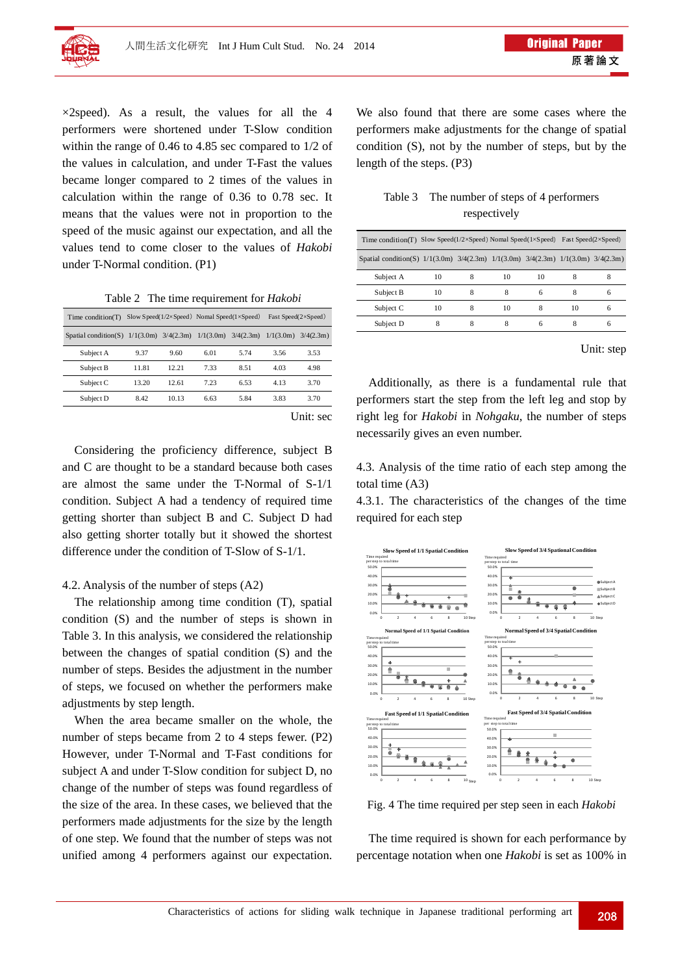

 $\times$ 2speed). As a result, the values for all the 4 performers were shortened under T-Slow condition within the range of 0.46 to 4.85 sec compared to 1/2 of the values in calculation, and under T-Fast the values became longer compared to 2 times of the values in calculation within the range of 0.36 to 0.78 sec. It means that the values were not in proportion to the speed of the music against our expectation, and all the values tend to come closer to the values of *Hakobi* under T-Normal condition. (P1)

Table 2 The time requirement for *Hakobi*

| Time condition(T)       | Slow Speed( $1/2 \times$ Speed) Nomal Speed( $1 \times$ Speed) |       |                                     |           | Fast Speed(2×Speed) |           |
|-------------------------|----------------------------------------------------------------|-------|-------------------------------------|-----------|---------------------|-----------|
| Spatial condition $(S)$ |                                                                |       | $1/1(3.0m)$ $3/4(2.3m)$ $1/1(3.0m)$ | 3/4(2.3m) | 1/1(3.0m)           | 3/4(2.3m) |
| Subject A               | 9.37                                                           | 9.60  | 6.01                                | 5.74      | 3.56                | 3.53      |
| Subject B               | 11.81                                                          | 12.21 | 7.33                                | 8.51      | 4.03                | 4.98      |
| Subject C               | 13.20                                                          | 12.61 | 7.23                                | 6.53      | 4.13                | 3.70      |
| Subject D               | 8.42                                                           | 10.13 | 6.63                                | 5.84      | 3.83                | 3.70      |
|                         |                                                                |       |                                     |           |                     |           |

Unit: sec

Considering the proficiency difference, subject B and C are thought to be a standard because both cases are almost the same under the T-Normal of S-1/1 condition. Subject A had a tendency of required time getting shorter than subject B and C. Subject D had also getting shorter totally but it showed the shortest difference under the condition of T-Slow of S-1/1.

### 4.2. Analysis of the number of steps (A2)

The relationship among time condition (T), spatial condition (S) and the number of steps is shown in Table 3. In this analysis, we considered the relationship between the changes of spatial condition (S) and the number of steps. Besides the adjustment in the number of steps, we focused on whether the performers make adjustments by step length.

When the area became smaller on the whole, the number of steps became from 2 to 4 steps fewer. (P2) However, under T-Normal and T-Fast conditions for subject A and under T-Slow condition for subject D, no change of the number of steps was found regardless of the size of the area. In these cases, we believed that the performers made adjustments for the size by the length of one step. We found that the number of steps was not unified among 4 performers against our expectation. We also found that there are some cases where the performers make adjustments for the change of spatial condition (S), not by the number of steps, but by the length of the steps. (P3)

| Table 3 The number of steps of 4 performers |
|---------------------------------------------|
| respectively                                |

| Time condition(T) Slow Speed( $1/2 \times$ Speed) Nomal Speed( $1 \times$ Speed) Fast Speed( $2 \times$ Speed) |    |   |    |    |    |   |
|----------------------------------------------------------------------------------------------------------------|----|---|----|----|----|---|
| Spatial condition(S) $1/1(3.0m)$ $3/4(2.3m)$ $1/1(3.0m)$ $3/4(2.3m)$ $1/1(3.0m)$ $3/4(2.3m)$                   |    |   |    |    |    |   |
| Subject A                                                                                                      | 10 | 8 | 10 | 10 | 8  | 8 |
| Subject B                                                                                                      | 10 | 8 |    | 6  | 8  | 6 |
| Subject C                                                                                                      | 10 | 8 | 10 | 8  | 10 | 6 |
| Subject D                                                                                                      | 8  | 8 | 8  |    | 8  | 6 |

Unit: step

Additionally, as there is a fundamental rule that performers start the step from the left leg and stop by right leg for *Hakobi* in *Nohgaku*, the number of steps necessarily gives an even number.

4.3. Analysis of the time ratio of each step among the total time (A3)

4.3.1. The characteristics of the changes of the time required for each step



Fig. 4 The time required per step seen in each *Hakobi* 

The time required is shown for each performance by percentage notation when one *Hakobi* is set as 100% in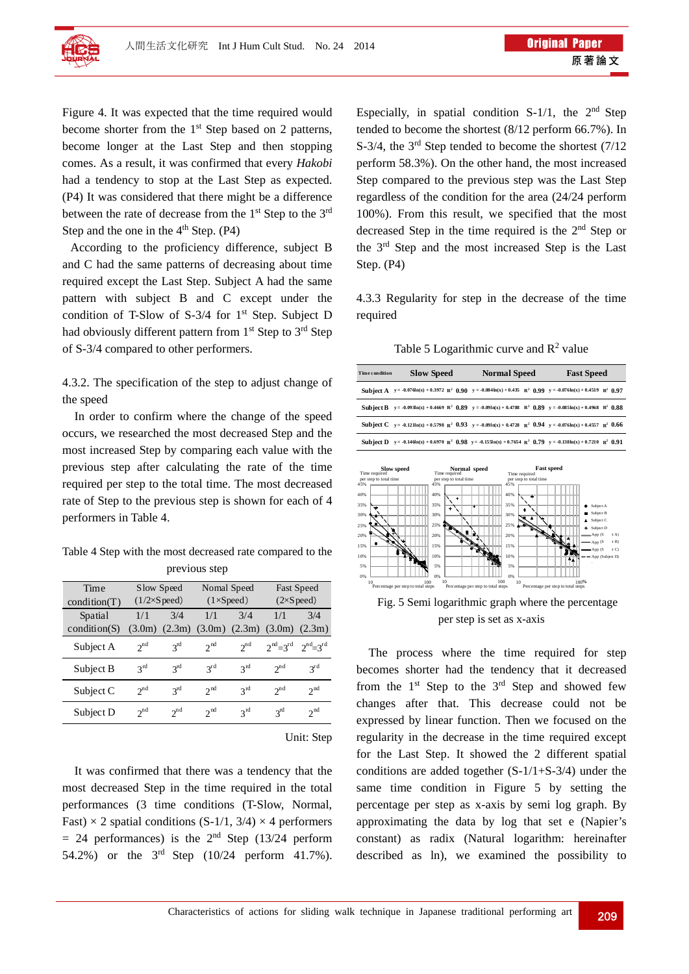

Figure 4. It was expected that the time required would become shorter from the  $1<sup>st</sup>$  Step based on 2 patterns, become longer at the Last Step and then stopping comes. As a result, it was confirmed that every *Hakobi* had a tendency to stop at the Last Step as expected. (P4) It was considered that there might be a difference between the rate of decrease from the  $1<sup>st</sup>$  Step to the  $3<sup>rd</sup>$ Step and the one in the  $4<sup>th</sup>$  Step. (P4)

According to the proficiency difference, subject B and C had the same patterns of decreasing about time required except the Last Step. Subject A had the same pattern with subject B and C except under the condition of T-Slow of  $S-3/4$  for  $1<sup>st</sup>$  Step. Subject D had obviously different pattern from  $1<sup>st</sup>$  Step to  $3<sup>rd</sup>$  Step of S-3/4 compared to other performers.

4.3.2. The specification of the step to adjust change of the speed

In order to confirm where the change of the speed occurs, we researched the most decreased Step and the most increased Step by comparing each value with the previous step after calculating the rate of the time required per step to the total time. The most decreased rate of Step to the previous step is shown for each of 4 performers in Table 4.

Table 4 Step with the most decreased rate compared to the previous step

| Time         | Slow Speed                  |                 | Nomal Speed       |                 | <b>Fast Speed</b>         |                               |
|--------------|-----------------------------|-----------------|-------------------|-----------------|---------------------------|-------------------------------|
| condition(T) | $(1/2\times S \text{peed})$ |                 | $(1\times Speed)$ |                 | $(2\times S \text{peed})$ |                               |
| Spatial      | 1/1                         | 3/4             | 1/1               | 3/4             | 1/1                       | 3/4                           |
| condition(S) | (3.0m)                      | (2.3m)          | $(3.0m)$ $(2.3m)$ |                 | (3.0m)                    | (2.3m)                        |
| Subject A    | $2^{nd}$                    | $2^{\text{rd}}$ | 2 <sup>nd</sup>   | $2^{nd}$        | $2nd=3rd$                 | $2^{\text{nd}}=3^{\text{rd}}$ |
| Subject B    | $2^{\text{rd}}$             | $3^{rd}$        | $3^{rd}$          | $2^{\text{rd}}$ | $2^{nd}$                  | $3^{rd}$                      |
| Subject C    | $2^{nd}$                    | $2^{\text{rd}}$ | 2 <sup>nd</sup>   | $2^{\text{rd}}$ | $2^{nd}$                  | 2 <sup>nd</sup>               |
| Subject D    | $2^{nd}$                    | $2^{nd}$        | 2 <sup>nd</sup>   | $2^{\text{rd}}$ | $3^{rd}$                  | 2 <sup>nd</sup>               |
|              |                             |                 |                   |                 |                           |                               |

Unit: Step

It was confirmed that there was a tendency that the most decreased Step in the time required in the total performances (3 time conditions (T-Slow, Normal, Fast)  $\times$  2 spatial conditions (S-1/1, 3/4)  $\times$  4 performers  $= 24$  performances) is the  $2<sup>nd</sup>$  Step (13/24 perform 54.2%) or the 3rd Step (10/24 perform 41.7%). Especially, in spatial condition  $S-1/1$ , the  $2<sup>nd</sup>$  Step tended to become the shortest (8/12 perform 66.7%). In S-3/4, the 3<sup>rd</sup> Step tended to become the shortest (7/12) perform 58.3%). On the other hand, the most increased Step compared to the previous step was the Last Step regardless of the condition for the area (24/24 perform 100%). From this result, we specified that the most decreased Step in the time required is the 2nd Step or the 3rd Step and the most increased Step is the Last Step. (P4)

4.3.3 Regularity for step in the decrease of the time required

Table 5 Logarithmic curve and  $R^2$  value



The process where the time required for step becomes shorter had the tendency that it decreased from the  $1<sup>st</sup>$  Step to the  $3<sup>rd</sup>$  Step and showed few changes after that. This decrease could not be expressed by linear function. Then we focused on the regularity in the decrease in the time required except for the Last Step. It showed the 2 different spatial conditions are added together (S-1/1+S-3/4) under the same time condition in Figure 5 by setting the percentage per step as x-axis by semi log graph. By approximating the data by log that set e (Napier's constant) as radix (Natural logarithm: hereinafter described as ln), we examined the possibility to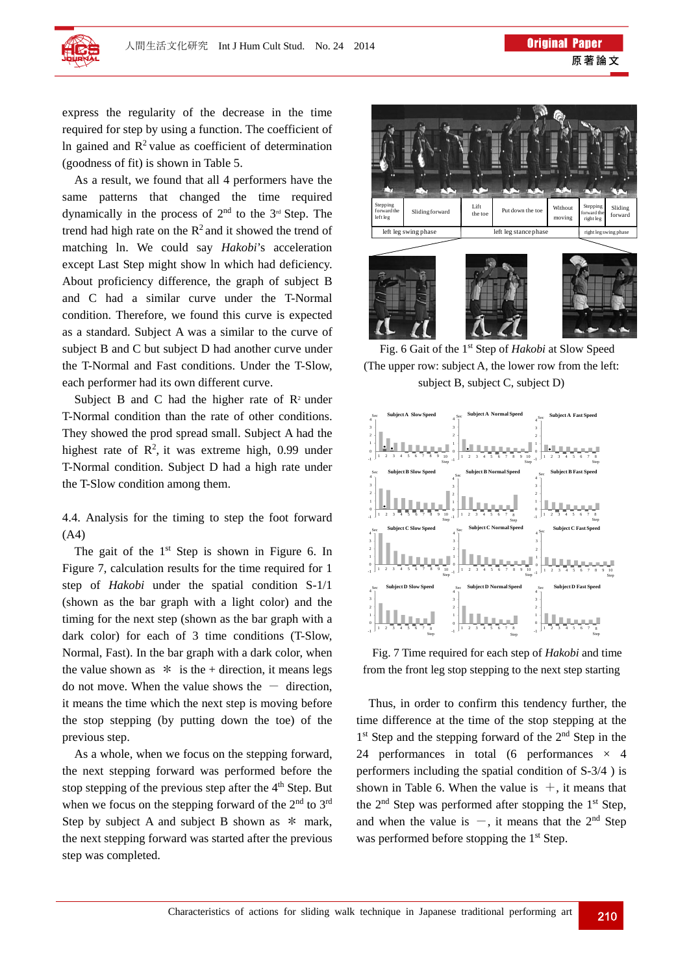

express the regularity of the decrease in the time required for step by using a function. The coefficient of In gained and  $R<sup>2</sup>$  value as coefficient of determination (goodness of fit) is shown in Table 5.

As a result, we found that all 4 performers have the same patterns that changed the time required dynamically in the process of  $2<sup>nd</sup>$  to the  $3<sup>rd</sup>$  Step. The trend had high rate on the  $R^2$  and it showed the trend of matching ln. We could say *Hakobi*'s acceleration except Last Step might show ln which had deficiency. About proficiency difference, the graph of subject B and C had a similar curve under the T-Normal condition. Therefore, we found this curve is expected as a standard. Subject A was a similar to the curve of subject B and C but subject D had another curve under the T-Normal and Fast conditions. Under the T-Slow, each performer had its own different curve.

Subject B and C had the higher rate of  $\mathbb{R}^2$  under T-Normal condition than the rate of other conditions. They showed the prod spread small. Subject A had the highest rate of  $\mathbb{R}^2$ , it was extreme high, 0.99 under T-Normal condition. Subject D had a high rate under the T-Slow condition among them.

4.4. Analysis for the timing to step the foot forward (A4)

The gait of the  $1<sup>st</sup>$  Step is shown in Figure 6. In Figure 7, calculation results for the time required for 1 step of *Hakobi* under the spatial condition S-1/1 (shown as the bar graph with a light color) and the timing for the next step (shown as the bar graph with a dark color) for each of 3 time conditions (T-Slow, Normal, Fast). In the bar graph with a dark color, when the value shown as  $*$  is the + direction, it means legs do not move. When the value shows the  $-$  direction, it means the time which the next step is moving before the stop stepping (by putting down the toe) of the previous step.

As a whole, when we focus on the stepping forward, the next stepping forward was performed before the stop stepping of the previous step after the  $4<sup>th</sup>$  Step. But when we focus on the stepping forward of the  $2<sup>nd</sup>$  to  $3<sup>rd</sup>$ Step by subject A and subject B shown as  $*$  mark, the next stepping forward was started after the previous step was completed.



Fig. 6 Gait of the 1st Step of *Hakobi* at Slow Speed (The upper row: subject A, the lower row from the left: subject B, subject C, subject D)



Fig. 7 Time required for each step of *Hakobi* and time from the front leg stop stepping to the next step starting

Thus, in order to confirm this tendency further, the time difference at the time of the stop stepping at the  $1<sup>st</sup>$  Step and the stepping forward of the  $2<sup>nd</sup>$  Step in the 24 performances in total (6 performances  $\times$  4 performers including the spatial condition of S-3/4 ) is shown in Table 6. When the value is  $+$ , it means that the  $2<sup>nd</sup>$  Step was performed after stopping the  $1<sup>st</sup>$  Step, and when the value is  $-$ , it means that the 2<sup>nd</sup> Step was performed before stopping the  $1<sup>st</sup>$  Step.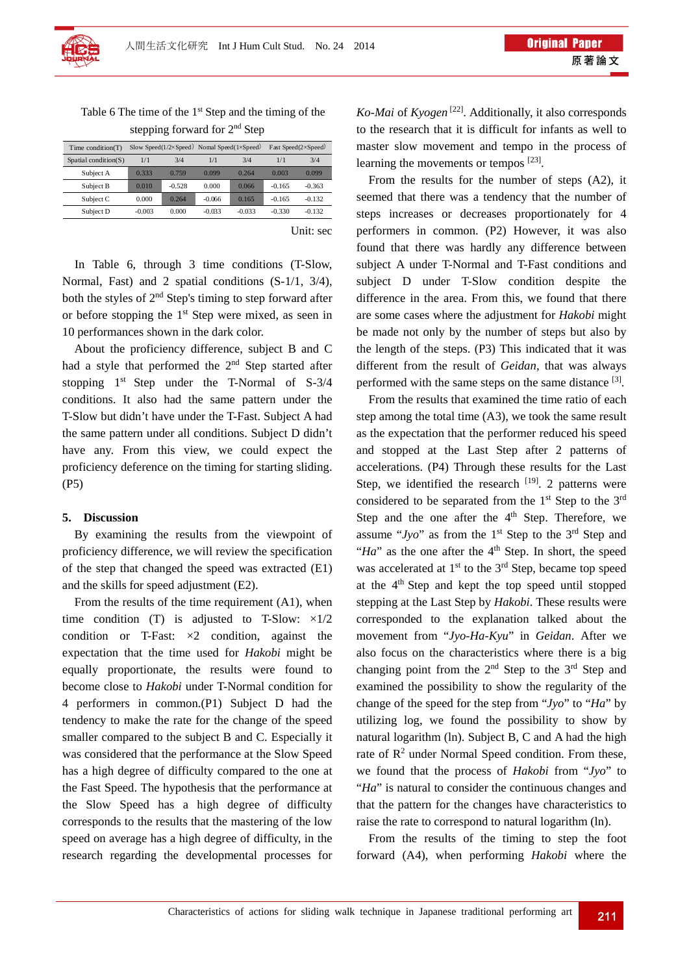Table 6 The time of the  $1<sup>st</sup>$  Step and the timing of the stepping forward for 2nd Step

| Time condition(T)           | Slow Speed( $1/2 \times$ Speed) Nomal Speed( $1 \times$ Speed) |          |          |          | Fast Speed(2×Speed) |          |
|-----------------------------|----------------------------------------------------------------|----------|----------|----------|---------------------|----------|
| $S$ patial condition( $S$ ) | 1/1                                                            | 3/4      | 1/1      | 3/4      | 1/1                 | 3/4      |
| Subject A                   | 0.333                                                          | 0.759    | 0.099    | 0.264    | 0.003               | 0.099    |
| Subject B                   | 0.010                                                          | $-0.528$ | 0.000    | 0.066    | $-0.165$            | $-0.363$ |
| Subject C                   | 0.000                                                          | 0.264    | $-0.066$ | 0.165    | $-0.165$            | $-0.132$ |
| Subject D                   | $-0.003$                                                       | 0.000    | $-0.033$ | $-0.033$ | $-0.330$            | $-0.132$ |
|                             |                                                                |          |          |          |                     |          |

Unit: sec

 In Table 6, through 3 time conditions (T-Slow, Normal, Fast) and 2 spatial conditions (S-1/1, 3/4), both the styles of  $2<sup>nd</sup>$  Step's timing to step forward after or before stopping the  $1<sup>st</sup>$  Step were mixed, as seen in 10 performances shown in the dark color.

About the proficiency difference, subject B and C had a style that performed the  $2<sup>nd</sup>$  Step started after stopping  $1<sup>st</sup>$  Step under the T-Normal of S-3/4 conditions. It also had the same pattern under the T-Slow but didn't have under the T-Fast. Subject A had the same pattern under all conditions. Subject D didn't have any. From this view, we could expect the proficiency deference on the timing for starting sliding. (P5)

### **5. Discussion**

By examining the results from the viewpoint of proficiency difference, we will review the specification of the step that changed the speed was extracted (E1) and the skills for speed adjustment (E2).

From the results of the time requirement (A1), when time condition (T) is adjusted to T-Slow:  $\times 1/2$ condition or T-Fast:  $\times 2$  condition, against the expectation that the time used for *Hakobi* might be equally proportionate, the results were found to become close to *Hakobi* under T-Normal condition for 4 performers in common.(P1) Subject D had the tendency to make the rate for the change of the speed smaller compared to the subject B and C. Especially it was considered that the performance at the Slow Speed has a high degree of difficulty compared to the one at the Fast Speed. The hypothesis that the performance at the Slow Speed has a high degree of difficulty corresponds to the results that the mastering of the low speed on average has a high degree of difficulty, in the research regarding the developmental processes for *Ko-Mai* of *Kyogen* [22]. Additionally, it also corresponds to the research that it is difficult for infants as well to master slow movement and tempo in the process of learning the movements or tempos [23].

From the results for the number of steps (A2), it seemed that there was a tendency that the number of steps increases or decreases proportionately for 4 performers in common. (P2) However, it was also found that there was hardly any difference between subject A under T-Normal and T-Fast conditions and subject D under T-Slow condition despite the difference in the area. From this, we found that there are some cases where the adjustment for *Hakobi* might be made not only by the number of steps but also by the length of the steps. (P3) This indicated that it was different from the result of *Geidan*, that was always performed with the same steps on the same distance  $[3]$ .

From the results that examined the time ratio of each step among the total time (A3), we took the same result as the expectation that the performer reduced his speed and stopped at the Last Step after 2 patterns of accelerations. (P4) Through these results for the Last Step, we identified the research  $[19]$ . 2 patterns were considered to be separated from the  $1<sup>st</sup>$  Step to the  $3<sup>rd</sup>$ Step and the one after the  $4<sup>th</sup>$  Step. Therefore, we assume " $Jyo$ " as from the 1<sup>st</sup> Step to the 3<sup>rd</sup> Step and "*Ha*" as the one after the  $4<sup>th</sup>$  Step. In short, the speed was accelerated at  $1<sup>st</sup>$  to the  $3<sup>rd</sup>$  Step, became top speed at the  $4<sup>th</sup>$  Step and kept the top speed until stopped stepping at the Last Step by *Hakobi*. These results were corresponded to the explanation talked about the movement from "*Jyo-Ha-Kyu*" in *Geidan*. After we also focus on the characteristics where there is a big changing point from the  $2<sup>nd</sup>$  Step to the  $3<sup>rd</sup>$  Step and examined the possibility to show the regularity of the change of the speed for the step from "*Jyo*" to "*Ha*" by utilizing log, we found the possibility to show by natural logarithm (ln). Subject B, C and A had the high rate of  $\mathbb{R}^2$  under Normal Speed condition. From these, we found that the process of *Hakobi* from "*Jyo*" to "*Ha*" is natural to consider the continuous changes and that the pattern for the changes have characteristics to raise the rate to correspond to natural logarithm (ln).

From the results of the timing to step the foot forward (A4), when performing *Hakobi* where the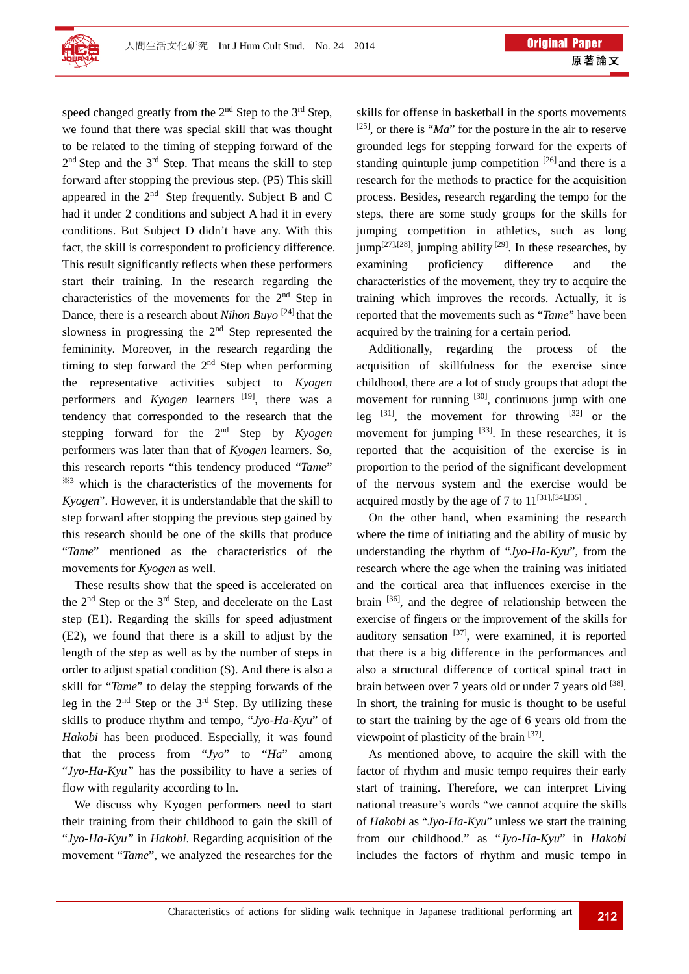

speed changed greatly from the  $2<sup>nd</sup>$  Step to the  $3<sup>rd</sup>$  Step, we found that there was special skill that was thought to be related to the timing of stepping forward of the 2<sup>nd</sup> Step and the 3<sup>rd</sup> Step. That means the skill to step forward after stopping the previous step. (P5) This skill appeared in the  $2<sup>nd</sup>$  Step frequently. Subject B and C had it under 2 conditions and subject A had it in every conditions. But Subject D didn't have any. With this fact, the skill is correspondent to proficiency difference. This result significantly reflects when these performers start their training. In the research regarding the characteristics of the movements for the  $2<sup>nd</sup>$  Step in Dance, there is a research about *Nihon Buyo* [24] that the slowness in progressing the  $2<sup>nd</sup>$  Step represented the femininity. Moreover, in the research regarding the timing to step forward the  $2<sup>nd</sup>$  Step when performing the representative activities subject to *Kyogen* performers and *Kyogen* learners <sup>[19]</sup>, there was a tendency that corresponded to the research that the stepping forward for the 2nd Step by *Kyogen* performers was later than that of *Kyogen* learners. So, this research reports "this tendency produced "*Tame*" ※3 which is the characteristics of the movements for *Kyogen*". However, it is understandable that the skill to step forward after stopping the previous step gained by this research should be one of the skills that produce "*Tame*" mentioned as the characteristics of the movements for *Kyogen* as well.

These results show that the speed is accelerated on the  $2<sup>nd</sup>$  Step or the  $3<sup>rd</sup>$  Step, and decelerate on the Last step (E1). Regarding the skills for speed adjustment (E2), we found that there is a skill to adjust by the length of the step as well as by the number of steps in order to adjust spatial condition (S). And there is also a skill for "*Tame*" to delay the stepping forwards of the leg in the  $2<sup>nd</sup>$  Step or the  $3<sup>rd</sup>$  Step. By utilizing these skills to produce rhythm and tempo, "*Jyo-Ha-Kyu*" of *Hakobi* has been produced. Especially, it was found that the process from "*Jyo*" to "*Ha*" among "*Jyo-Ha-Kyu"* has the possibility to have a series of flow with regularity according to ln.

We discuss why Kyogen performers need to start their training from their childhood to gain the skill of "*Jyo-Ha-Kyu"* in *Hakobi*. Regarding acquisition of the movement "*Tame*", we analyzed the researches for the skills for offense in basketball in the sports movements [25], or there is "*Ma*" for the posture in the air to reserve grounded legs for stepping forward for the experts of standing quintuple jump competition  $[26]$  and there is a research for the methods to practice for the acquisition process. Besides, research regarding the tempo for the steps, there are some study groups for the skills for jumping competition in athletics, such as long  $jump^{[27],[28]}$ , jumping ability <sup>[29]</sup>. In these researches, by examining proficiency difference and the characteristics of the movement, they try to acquire the training which improves the records. Actually, it is reported that the movements such as "*Tame*" have been acquired by the training for a certain period.

Additionally, regarding the process of the acquisition of skillfulness for the exercise since childhood, there are a lot of study groups that adopt the movement for running  $[30]$ , continuous jump with one leg  $[31]$ , the movement for throwing  $[32]$  or the movement for jumping <sup>[33]</sup>. In these researches, it is reported that the acquisition of the exercise is in proportion to the period of the significant development of the nervous system and the exercise would be acquired mostly by the age of 7 to  $11^{[31],[34],[35]}$ .

On the other hand, when examining the research where the time of initiating and the ability of music by understanding the rhythm of "*Jyo-Ha-Kyu*", from the research where the age when the training was initiated and the cortical area that influences exercise in the brain [36], and the degree of relationship between the exercise of fingers or the improvement of the skills for auditory sensation  $[37]$ , were examined, it is reported that there is a big difference in the performances and also a structural difference of cortical spinal tract in brain between over 7 years old or under 7 years old [38]. In short, the training for music is thought to be useful to start the training by the age of 6 years old from the viewpoint of plasticity of the brain [37].

As mentioned above, to acquire the skill with the factor of rhythm and music tempo requires their early start of training. Therefore, we can interpret Living national treasure's words "we cannot acquire the skills of *Hakobi* as "*Jyo-Ha-Kyu*" unless we start the training from our childhood." as "*Jyo-Ha-Kyu*" in *Hakobi* includes the factors of rhythm and music tempo in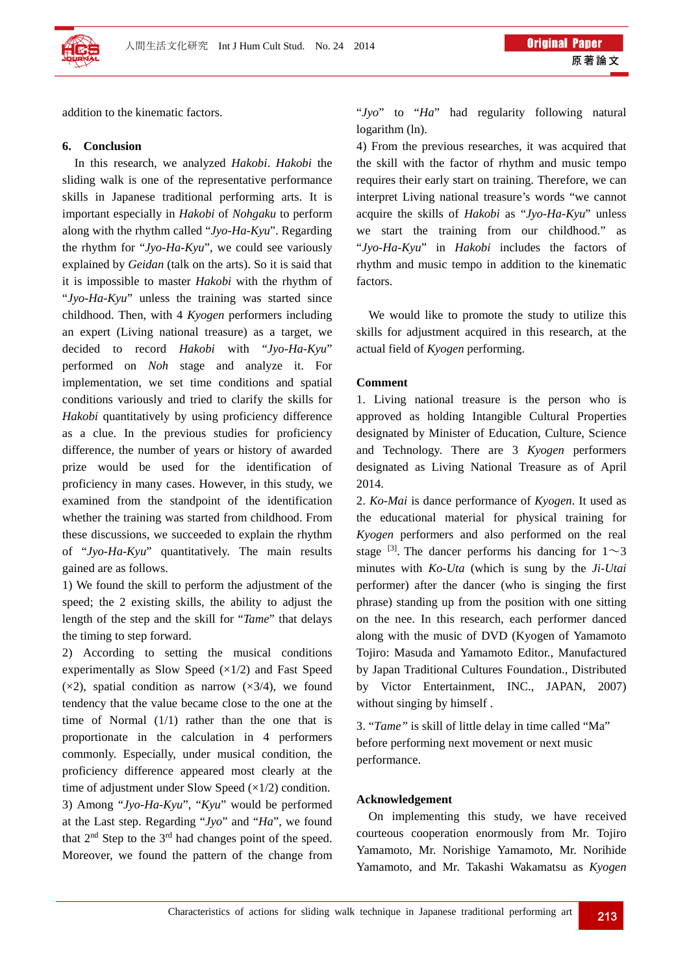

addition to the kinematic factors.

## **6. Conclusion**

In this research, we analyzed *Hakobi*. *Hakobi* the sliding walk is one of the representative performance skills in Japanese traditional performing arts. It is important especially in *Hakobi* of *Nohgaku* to perform along with the rhythm called "*Jyo-Ha-Kyu*". Regarding the rhythm for "*Jyo-Ha-Kyu*", we could see variously explained by *Geidan* (talk on the arts). So it is said that it is impossible to master *Hakobi* with the rhythm of "*Jyo-Ha-Kyu*" unless the training was started since childhood. Then, with 4 *Kyogen* performers including an expert (Living national treasure) as a target, we decided to record *Hakobi* with "*Jyo-Ha-Kyu*" performed on *Noh* stage and analyze it. For implementation, we set time conditions and spatial conditions variously and tried to clarify the skills for *Hakobi* quantitatively by using proficiency difference as a clue. In the previous studies for proficiency difference, the number of years or history of awarded prize would be used for the identification of proficiency in many cases. However, in this study, we examined from the standpoint of the identification whether the training was started from childhood. From these discussions, we succeeded to explain the rhythm of "*Jyo-Ha-Kyu*" quantitatively. The main results gained are as follows.

1) We found the skill to perform the adjustment of the speed; the 2 existing skills, the ability to adjust the length of the step and the skill for "*Tame*" that delays the timing to step forward.

2) According to setting the musical conditions experimentally as Slow Speed  $(x1/2)$  and Fast Speed  $(x2)$ , spatial condition as narrow  $(x3/4)$ , we found tendency that the value became close to the one at the time of Normal (1/1) rather than the one that is proportionate in the calculation in 4 performers commonly. Especially, under musical condition, the proficiency difference appeared most clearly at the time of adjustment under Slow Speed  $(\times 1/2)$  condition. 3) Among "*Jyo-Ha-Kyu*", "*Kyu*" would be performed at the Last step. Regarding "*Jyo*" and "*Ha*", we found that  $2<sup>nd</sup>$  Step to the  $3<sup>rd</sup>$  had changes point of the speed. Moreover, we found the pattern of the change from

"*Jyo*" to "*Ha*" had regularity following natural logarithm (ln).

4) From the previous researches, it was acquired that the skill with the factor of rhythm and music tempo requires their early start on training. Therefore, we can interpret Living national treasure's words "we cannot acquire the skills of *Hakobi* as "*Jyo-Ha-Kyu*" unless we start the training from our childhood." as "*Jyo-Ha-Kyu*" in *Hakobi* includes the factors of rhythm and music tempo in addition to the kinematic factors.

We would like to promote the study to utilize this skills for adjustment acquired in this research, at the actual field of *Kyogen* performing.

### **Comment**

1. Living national treasure is the person who is approved as holding Intangible Cultural Properties designated by Minister of Education, Culture, Science and Technology. There are 3 *Kyogen* performers designated as Living National Treasure as of April 2014.

2. *Ko-Mai* is dance performance of *Kyogen*. It used as the educational material for physical training for *Kyogen* performers and also performed on the real stage <sup>[3]</sup>. The dancer performs his dancing for  $1\sim 3$ minutes with *Ko-Uta* (which is sung by the *Ji-Utai* performer) after the dancer (who is singing the first phrase) standing up from the position with one sitting on the nee. In this research, each performer danced along with the music of DVD (Kyogen of Yamamoto Tojiro: Masuda and Yamamoto Editor., Manufactured by Japan Traditional Cultures Foundation., Distributed by Victor Entertainment, INC., JAPAN, 2007) without singing by himself .

3. "*Tame"* is skill of little delay in time called "Ma" before performing next movement or next music performance.

### **Acknowledgement**

On implementing this study, we have received courteous cooperation enormously from Mr. Tojiro Yamamoto, Mr. Norishige Yamamoto, Mr. Norihide Yamamoto, and Mr. Takashi Wakamatsu as *Kyogen*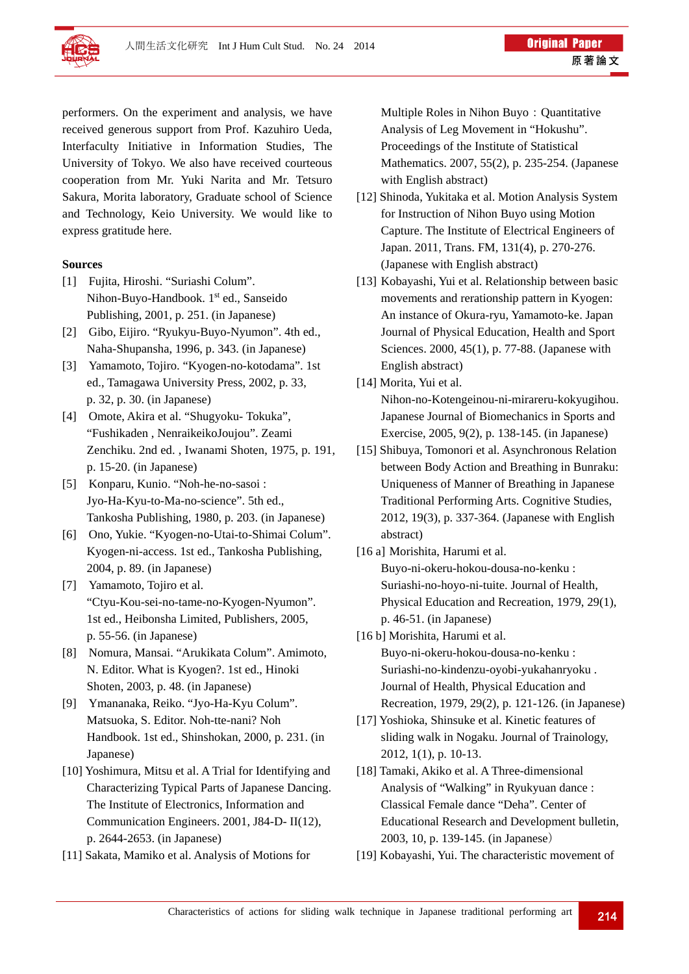

performers. On the experiment and analysis, we have received generous support from Prof. Kazuhiro Ueda, Interfaculty Initiative in Information Studies, The University of Tokyo. We also have received courteous cooperation from Mr. Yuki Narita and Mr. Tetsuro Sakura, Morita laboratory, Graduate school of Science and Technology, Keio University. We would like to express gratitude here.

## **Sources**

- [1] Fujita, Hiroshi. "Suriashi Colum". Nihon-Buyo-Handbook. 1<sup>st</sup> ed., Sanseido Publishing, 2001, p. 251. (in Japanese)
- [2] Gibo, Eijiro. "Ryukyu-Buyo-Nyumon". 4th ed., Naha-Shupansha, 1996, p. 343. (in Japanese)
- [3] Yamamoto, Tojiro. "Kyogen-no-kotodama". 1st ed., Tamagawa University Press, 2002, p. 33, p. 32, p. 30. (in Japanese)
- [4] Omote, Akira et al. "Shugyoku- Tokuka", "Fushikaden , NenraikeikoJoujou". Zeami Zenchiku. 2nd ed. , Iwanami Shoten, 1975, p. 191, p. 15-20. (in Japanese)
- [5] Konparu, Kunio. "Noh-he-no-sasoi : Jyo-Ha-Kyu-to-Ma-no-science". 5th ed., Tankosha Publishing, 1980, p. 203. (in Japanese)
- [6] Ono, Yukie. "Kyogen-no-Utai-to-Shimai Colum". Kyogen-ni-access. 1st ed., Tankosha Publishing, 2004, p. 89. (in Japanese)
- [7] Yamamoto, Tojiro et al. "Ctyu-Kou-sei-no-tame-no-Kyogen-Nyumon". 1st ed., Heibonsha Limited, Publishers, 2005, p. 55-56. (in Japanese)
- [8] Nomura, Mansai. "Arukikata Colum". Amimoto, N. Editor. What is Kyogen?. 1st ed., Hinoki Shoten, 2003, p. 48. (in Japanese)
- [9] Ymananaka, Reiko. "Jyo-Ha-Kyu Colum". Matsuoka, S. Editor. Noh-tte-nani? Noh Handbook. 1st ed., Shinshokan, 2000, p. 231. (in Japanese)
- [10] Yoshimura, Mitsu et al. A Trial for Identifying and Characterizing Typical Parts of Japanese Dancing. The Institute of Electronics, Information and Communication Engineers. 2001, J84-D- II(12), p. 2644-2653. (in Japanese)
- [11] Sakata, Mamiko et al. Analysis of Motions for

Multiple Roles in Nihon Buyo: Quantitative Analysis of Leg Movement in "Hokushu". Proceedings of the Institute of Statistical Mathematics. 2007, 55(2), p. 235-254. (Japanese with English abstract)

- [12] Shinoda, Yukitaka et al. Motion Analysis System for Instruction of Nihon Buyo using Motion Capture. The Institute of Electrical Engineers of Japan. 2011, Trans. FM, 131(4), p. 270-276. (Japanese with English abstract)
- [13] Kobayashi, Yui et al. Relationship between basic movements and rerationship pattern in Kyogen: An instance of Okura-ryu, Yamamoto-ke. Japan Journal of Physical Education, Health and Sport Sciences. 2000, 45(1), p. 77-88. (Japanese with English abstract)
- [14] Morita, Yui et al. Nihon-no-Kotengeinou-ni-mirareru-kokyugihou. Japanese Journal of Biomechanics in Sports and Exercise, 2005, 9(2), p. 138-145. (in Japanese)
- [15] Shibuya, Tomonori et al. Asynchronous Relation between Body Action and Breathing in Bunraku: Uniqueness of Manner of Breathing in Japanese Traditional Performing Arts. Cognitive Studies, 2012, 19(3), p. 337-364. (Japanese with English abstract)
- [16 a] Morishita, Harumi et al. Buyo-ni-okeru-hokou-dousa-no-kenku : Suriashi-no-hoyo-ni-tuite. Journal of Health, Physical Education and Recreation, 1979, 29(1), p. 46-51. (in Japanese)
- [16 b] Morishita, Harumi et al. Buyo-ni-okeru-hokou-dousa-no-kenku : Suriashi-no-kindenzu-oyobi-yukahanryoku . Journal of Health, Physical Education and Recreation, 1979, 29(2), p. 121-126. (in Japanese)
- [17] Yoshioka, Shinsuke et al. Kinetic features of sliding walk in Nogaku. Journal of Trainology, 2012, 1(1), p. 10-13.
- [18] Tamaki, Akiko et al. A Three-dimensional Analysis of "Walking" in Ryukyuan dance : Classical Female dance "Deha". Center of Educational Research and Development bulletin, 2003, 10, p. 139-145. (in Japanese)
- [19] Kobayashi, Yui. The characteristic movement of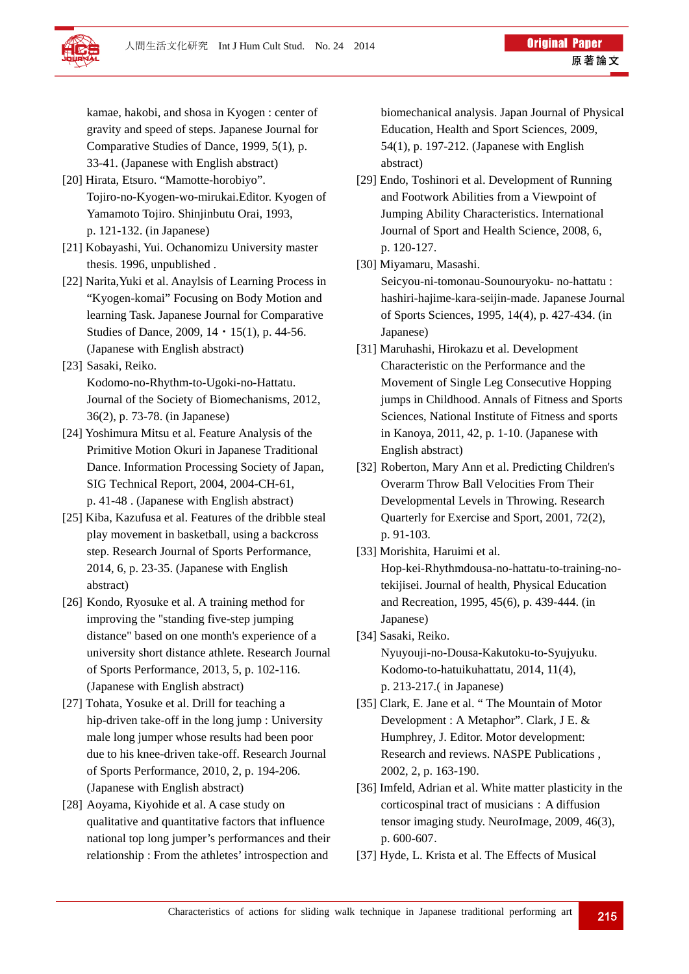kamae, hakobi, and shosa in Kyogen : center of gravity and speed of steps. Japanese Journal for Comparative Studies of Dance, 1999, 5(1), p. 33-41. (Japanese with English abstract)

- [20] Hirata, Etsuro. "Mamotte-horobiyo". Tojiro-no-Kyogen-wo-mirukai.Editor. Kyogen of Yamamoto Tojiro. Shinjinbutu Orai, 1993, p. 121-132. (in Japanese)
- [21] Kobayashi, Yui. Ochanomizu University master thesis. 1996, unpublished .
- [22] Narita,Yuki et al. Anaylsis of Learning Process in "Kyogen-komai" Focusing on Body Motion and learning Task. Japanese Journal for Comparative Studies of Dance, 2009,  $14 \cdot 15(1)$ , p. 44-56. (Japanese with English abstract)
- [23] Sasaki, Reiko. Kodomo-no-Rhythm-to-Ugoki-no-Hattatu. Journal of the Society of Biomechanisms, 2012, 36(2), p. 73-78. (in Japanese)
- [24] Yoshimura Mitsu et al. Feature Analysis of the Primitive Motion Okuri in Japanese Traditional Dance. Information Processing Society of Japan, SIG Technical Report, 2004, 2004-CH-61, p. 41-48 . (Japanese with English abstract)
- [25] Kiba, Kazufusa et al. Features of the dribble steal play movement in basketball, using a backcross step. Research Journal of Sports Performance, 2014, 6, p. 23-35. (Japanese with English abstract)
- [26] Kondo, Ryosuke et al. A training method for improving the "standing five-step jumping distance" based on one month's experience of a university short distance athlete. Research Journal of Sports Performance, 2013, 5, p. 102-116. (Japanese with English abstract)
- [27] Tohata, Yosuke et al. Drill for teaching a hip-driven take-off in the long jump : University male long jumper whose results had been poor due to his knee-driven take-off. Research Journal of Sports Performance, 2010, 2, p. 194-206. (Japanese with English abstract)
- [28] Aoyama, Kiyohide et al. A case study on qualitative and quantitative factors that influence national top long jumper's performances and their relationship : From the athletes' introspection and

biomechanical analysis. Japan Journal of Physical Education, Health and Sport Sciences, 2009, 54(1), p. 197-212. (Japanese with English abstract)

- [29] Endo, Toshinori et al. Development of Running and Footwork Abilities from a Viewpoint of Jumping Ability Characteristics. International Journal of Sport and Health Science, 2008, 6, p. 120-127.
- [30] Miyamaru, Masashi.

Seicyou-ni-tomonau-Sounouryoku- no-hattatu : hashiri-hajime-kara-seijin-made. Japanese Journal of Sports Sciences, 1995, 14(4), p. 427-434. (in Japanese)

- [31] Maruhashi, Hirokazu et al. Development Characteristic on the Performance and the Movement of Single Leg Consecutive Hopping jumps in Childhood. Annals of Fitness and Sports Sciences, National Institute of Fitness and sports in Kanoya, 2011, 42, p. 1-10. (Japanese with English abstract)
- [32] Roberton, Mary Ann et al. Predicting Children's Overarm Throw Ball Velocities From Their Developmental Levels in Throwing. Research Quarterly for Exercise and Sport, 2001, 72(2), p. 91-103.
- [33] Morishita, Haruimi et al. Hop-kei-Rhythmdousa-no-hattatu-to-training-notekijisei. Journal of health, Physical Education and Recreation, 1995, 45(6), p. 439-444. (in Japanese)
- [34] Sasaki, Reiko. Nyuyouji-no-Dousa-Kakutoku-to-Syujyuku. Kodomo-to-hatuikuhattatu, 2014, 11(4), p. 213-217.( in Japanese)
- [35] Clark, E. Jane et al. "The Mountain of Motor Development : A Metaphor". Clark, J E. & Humphrey, J. Editor. Motor development: Research and reviews. NASPE Publications , 2002, 2, p. 163-190.
- [36] Imfeld, Adrian et al. White matter plasticity in the corticospinal tract of musicians: A diffusion tensor imaging study. NeuroImage, 2009, 46(3), p. 600-607.
- [37] Hyde, L. Krista et al. The Effects of Musical